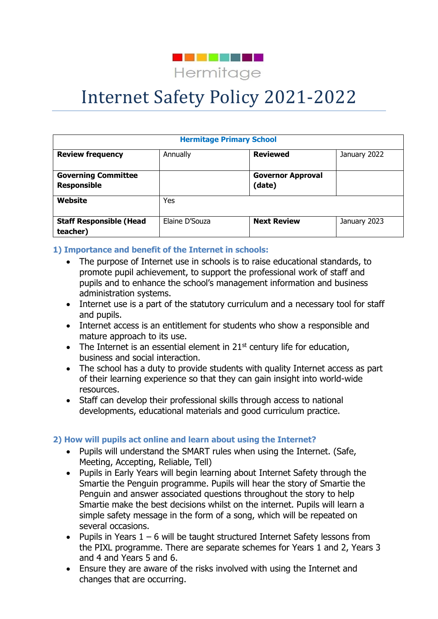

# Internet Safety Policy 2021-2022

| <b>Hermitage Primary School</b>                  |                |                                    |              |  |  |  |
|--------------------------------------------------|----------------|------------------------------------|--------------|--|--|--|
| <b>Review frequency</b>                          | Annually       | <b>Reviewed</b>                    | January 2022 |  |  |  |
| <b>Governing Committee</b><br><b>Responsible</b> |                | <b>Governor Approval</b><br>(date) |              |  |  |  |
| Website                                          | Yes            |                                    |              |  |  |  |
| <b>Staff Responsible (Head</b><br>teacher)       | Elaine D'Souza | <b>Next Review</b>                 | January 2023 |  |  |  |

#### **1) Importance and benefit of the Internet in schools:**

- The purpose of Internet use in schools is to raise educational standards, to promote pupil achievement, to support the professional work of staff and pupils and to enhance the school's management information and business administration systems.
- Internet use is a part of the statutory curriculum and a necessary tool for staff and pupils.
- Internet access is an entitlement for students who show a responsible and mature approach to its use.
- The Internet is an essential element in  $21<sup>st</sup>$  century life for education, business and social interaction.
- The school has a duty to provide students with quality Internet access as part of their learning experience so that they can gain insight into world-wide resources.
- Staff can develop their professional skills through access to national developments, educational materials and good curriculum practice.

#### **2) How will pupils act online and learn about using the Internet?**

- Pupils will understand the SMART rules when using the Internet. (Safe, Meeting, Accepting, Reliable, Tell)
- Pupils in Early Years will begin learning about Internet Safety through the Smartie the Penguin programme. Pupils will hear the story of Smartie the Penguin and answer associated questions throughout the story to help Smartie make the best decisions whilst on the internet. Pupils will learn a simple safety message in the form of a song, which will be repeated on several occasions.
- Pupils in Years  $1 6$  will be taught structured Internet Safety lessons from the PIXL programme. There are separate schemes for Years 1 and 2, Years 3 and 4 and Years 5 and 6.
- Ensure they are aware of the risks involved with using the Internet and changes that are occurring.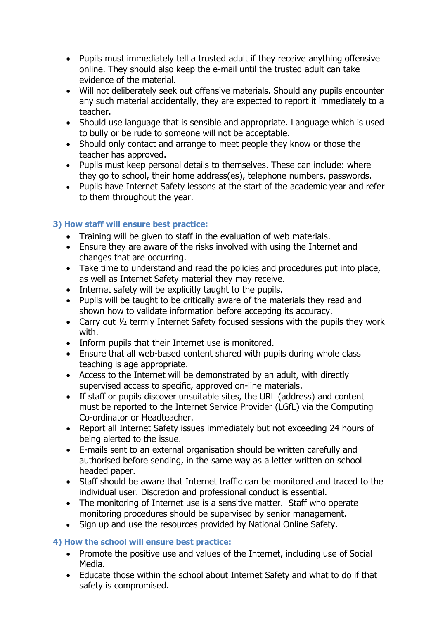- Pupils must immediately tell a trusted adult if they receive anything offensive online. They should also keep the e-mail until the trusted adult can take evidence of the material.
- Will not deliberately seek out offensive materials. Should any pupils encounter any such material accidentally, they are expected to report it immediately to a teacher.
- Should use language that is sensible and appropriate. Language which is used to bully or be rude to someone will not be acceptable.
- Should only contact and arrange to meet people they know or those the teacher has approved.
- Pupils must keep personal details to themselves. These can include: where they go to school, their home address(es), telephone numbers, passwords.
- Pupils have Internet Safety lessons at the start of the academic year and refer to them throughout the year.

## **3) How staff will ensure best practice:**

- Training will be given to staff in the evaluation of web materials.
- Ensure they are aware of the risks involved with using the Internet and changes that are occurring.
- Take time to understand and read the policies and procedures put into place, as well as Internet Safety material they may receive.
- Internet safety will be explicitly taught to the pupils**.**
- Pupils will be taught to be critically aware of the materials they read and shown how to validate information before accepting its accuracy.
- Carry out ½ termly Internet Safety focused sessions with the pupils they work with.
- Inform pupils that their Internet use is monitored.
- Ensure that all web-based content shared with pupils during whole class teaching is age appropriate.
- Access to the Internet will be demonstrated by an adult, with directly supervised access to specific, approved on-line materials.
- If staff or pupils discover unsuitable sites, the URL (address) and content must be reported to the Internet Service Provider (LGfL) via the Computing Co-ordinator or Headteacher.
- Report all Internet Safety issues immediately but not exceeding 24 hours of being alerted to the issue.
- E-mails sent to an external organisation should be written carefully and authorised before sending, in the same way as a letter written on school headed paper.
- Staff should be aware that Internet traffic can be monitored and traced to the individual user. Discretion and professional conduct is essential.
- The monitoring of Internet use is a sensitive matter. Staff who operate monitoring procedures should be supervised by senior management.
- Sign up and use the resources provided by National Online Safety.

## **4) How the school will ensure best practice:**

- Promote the positive use and values of the Internet, including use of Social Media.
- Educate those within the school about Internet Safety and what to do if that safety is compromised.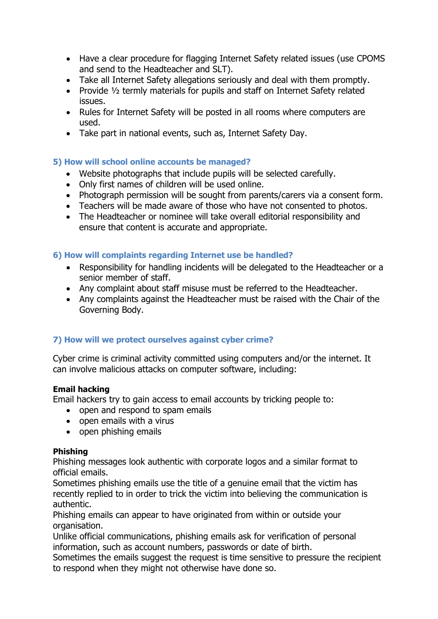- Have a clear procedure for flagging Internet Safety related issues (use CPOMS and send to the Headteacher and SLT).
- Take all Internet Safety allegations seriously and deal with them promptly.
- Provide 1/2 termly materials for pupils and staff on Internet Safety related issues.
- Rules for Internet Safety will be posted in all rooms where computers are used.
- Take part in national events, such as, Internet Safety Day.

## **5) How will school online accounts be managed?**

- Website photographs that include pupils will be selected carefully.
- Only first names of children will be used online.
- Photograph permission will be sought from parents/carers via a consent form.
- Teachers will be made aware of those who have not consented to photos.
- The Headteacher or nominee will take overall editorial responsibility and ensure that content is accurate and appropriate.

## **6) How will complaints regarding Internet use be handled?**

- Responsibility for handling incidents will be delegated to the Headteacher or a senior member of staff.
- Any complaint about staff misuse must be referred to the Headteacher.
- Any complaints against the Headteacher must be raised with the Chair of the Governing Body.

## **7) How will we protect ourselves against cyber crime?**

Cyber crime is criminal activity committed using computers and/or the internet. It can involve malicious attacks on computer software, including:

## **Email hacking**

Email hackers try to gain access to email accounts by tricking people to:

- open and respond to spam emails
- open emails with a virus
- open phishing emails

## **Phishing**

Phishing messages look authentic with corporate logos and a similar format to official emails.

Sometimes phishing emails use the title of a genuine email that the victim has recently replied to in order to trick the victim into believing the communication is authentic.

Phishing emails can appear to have originated from within or outside your organisation.

Unlike official communications, phishing emails ask for verification of personal information, such as account numbers, passwords or date of birth.

Sometimes the emails suggest the request is time sensitive to pressure the recipient to respond when they might not otherwise have done so.